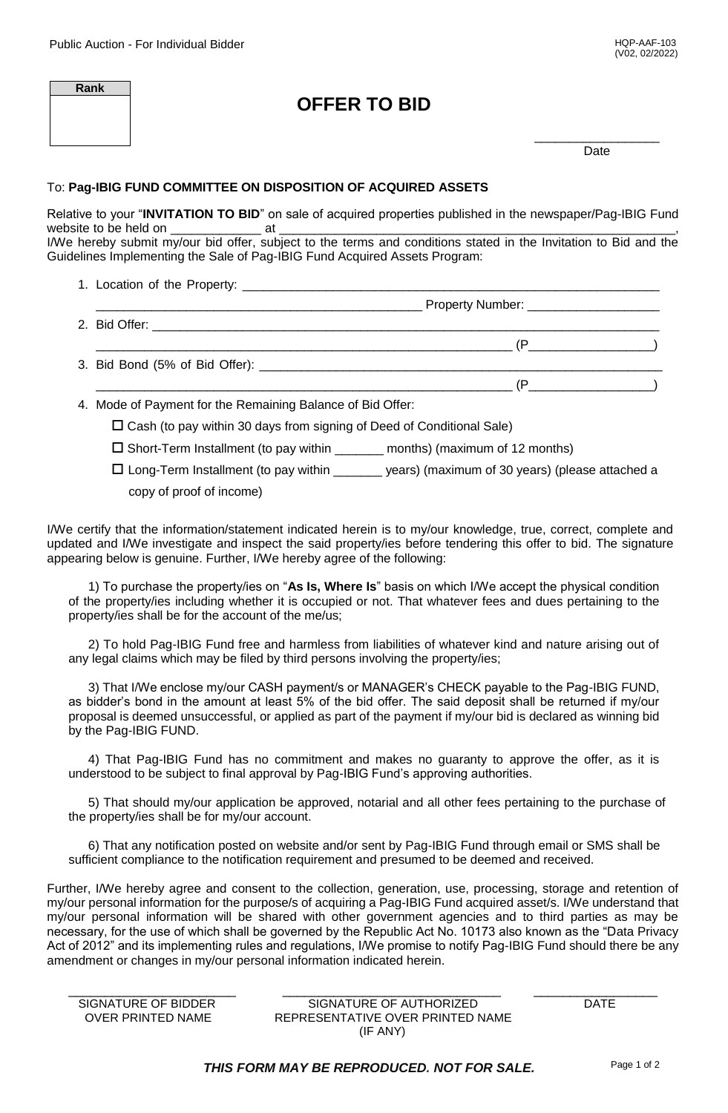$(P \longrightarrow P)$ 

| Rank | <b>OFFER TO BID</b> |      |
|------|---------------------|------|
|      |                     | Date |

## To: **Pag-IBIG FUND COMMITTEE ON DISPOSITION OF ACQUIRED ASSETS**

Relative to your "**INVITATION TO BID**" on sale of acquired properties published in the newspaper/Pag-IBIG Fund website to be held on \_\_\_\_\_\_\_\_\_\_\_\_\_ at \_\_\_\_\_\_\_\_\_\_\_\_\_\_\_\_\_\_\_\_\_\_\_\_\_\_\_\_\_\_\_\_\_\_\_\_\_\_\_\_\_\_\_\_\_\_\_\_\_\_\_\_\_\_\_\_\_, I/We hereby submit my/our bid offer, subject to the terms and conditions stated in the Invitation to Bid and the

Guidelines Implementing the Sale of Pag-IBIG Fund Acquired Assets Program:

- 1. Location of the Property: \_\_\_\_\_\_\_\_\_\_\_\_\_\_\_\_\_\_\_\_\_\_\_\_\_\_\_\_\_\_\_\_\_\_\_\_\_\_\_\_\_\_\_\_\_\_\_\_\_\_\_\_\_\_\_\_\_\_\_\_ \_\_\_\_\_\_\_\_\_\_\_\_\_\_\_\_\_\_\_\_\_\_\_\_\_\_\_\_\_\_\_\_\_\_\_\_\_\_\_\_\_\_\_\_\_\_\_ Property Number: \_\_\_\_\_\_\_\_\_\_\_\_\_\_\_\_\_\_\_
- 2. Bid Offer: \_\_\_\_\_\_\_\_\_\_\_\_\_\_\_\_\_\_\_\_\_\_\_\_\_\_\_\_\_\_\_\_\_\_\_\_\_\_\_\_\_\_\_\_\_\_\_\_\_\_\_\_\_\_\_\_\_\_\_\_\_\_\_\_\_\_\_\_\_\_\_\_\_
- \_\_\_\_\_\_\_\_\_\_\_\_\_\_\_\_\_\_\_\_\_\_\_\_\_\_\_\_\_\_\_\_\_\_\_\_\_\_\_\_\_\_\_\_\_\_\_\_\_\_\_\_\_\_\_\_\_\_\_\_ (P\_\_\_\_\_\_\_\_\_\_\_\_\_\_\_\_\_\_) 3. Bid Bond (5% of Bid Offer): \_\_\_\_\_\_\_\_\_\_\_\_\_\_\_\_\_\_\_\_\_\_\_\_\_\_\_\_\_\_\_\_\_\_\_\_\_\_\_\_\_\_\_\_\_\_\_\_\_\_\_\_\_\_\_\_\_\_

4. Mode of Payment for the Remaining Balance of Bid Offer:

 $\square$  Cash (to pay within 30 days from signing of Deed of Conditional Sale)

 $\square$  Short-Term Installment (to pay within \_\_\_\_\_\_\_ months) (maximum of 12 months)

 $\Box$  Long-Term Installment (to pay within  $\Box$  years) (maximum of 30 years) (please attached a copy of proof of income)

I/We certify that the information/statement indicated herein is to my/our knowledge, true, correct, complete and updated and I/We investigate and inspect the said property/ies before tendering this offer to bid. The signature appearing below is genuine. Further, I/We hereby agree of the following:

1) To purchase the property/ies on "**As Is, Where Is**" basis on which I/We accept the physical condition of the property/ies including whether it is occupied or not. That whatever fees and dues pertaining to the property/ies shall be for the account of the me/us;

2) To hold Pag-IBIG Fund free and harmless from liabilities of whatever kind and nature arising out of any legal claims which may be filed by third persons involving the property/ies;

3) That I/We enclose my/our CASH payment/s or MANAGER's CHECK payable to the Pag-IBIG FUND, as bidder's bond in the amount at least 5% of the bid offer. The said deposit shall be returned if my/our proposal is deemed unsuccessful, or applied as part of the payment if my/our bid is declared as winning bid by the Pag-IBIG FUND.

4) That Pag-IBIG Fund has no commitment and makes no guaranty to approve the offer, as it is understood to be subject to final approval by Pag-IBIG Fund's approving authorities.

5) That should my/our application be approved, notarial and all other fees pertaining to the purchase of the property/ies shall be for my/our account.

6) That any notification posted on website and/or sent by Pag-IBIG Fund through email or SMS shall be sufficient compliance to the notification requirement and presumed to be deemed and received.

Further, I/We hereby agree and consent to the collection, generation, use, processing, storage and retention of my/our personal information for the purpose/s of acquiring a Pag-IBIG Fund acquired asset/s. I/We understand that my/our personal information will be shared with other government agencies and to third parties as may be necessary, for the use of which shall be governed by the Republic Act No. 10173 also known as the "Data Privacy Act of 2012" and its implementing rules and regulations, I/We promise to notify Pag-IBIG Fund should there be any amendment or changes in my/our personal information indicated herein.

\_\_\_\_\_\_\_\_\_\_\_\_\_\_\_\_\_\_\_\_\_\_\_ \_\_\_\_\_\_\_\_\_\_\_\_\_\_\_\_\_\_\_\_\_\_\_\_\_\_\_\_\_\_ \_\_\_\_\_\_\_\_\_\_\_\_\_\_\_\_\_ SIGNATURE OF BIDDER SIGNATURE OF AUTHORIZED DATE OVER PRINTED NAME REPRESENTATIVE OVER PRINTED NAME (IF ANY)